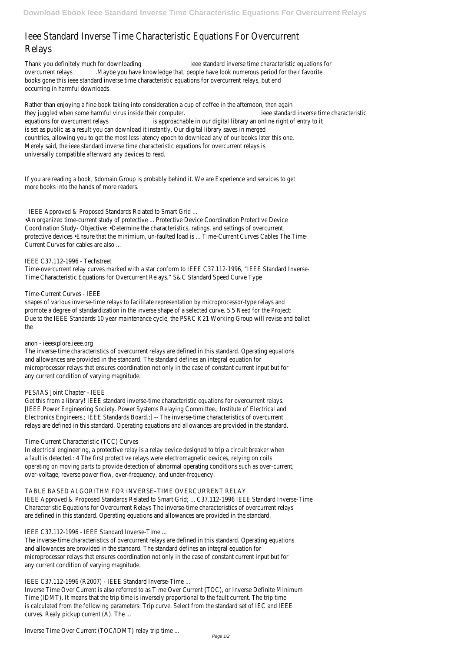# Ieee Standard Inverse Time Characteristic Equations For Overcurren Relays

Thank you definitely much for downloadingeee standard inverse time characteristic equations for overcurrent relays.Maybe you have knowledge that, people have look numerous period for their favorite books gone this ieee standard inverse time characteristic equations for overcurrent relays, but end occurring in harmful downloads.

Rather than enjoying a fine book taking into consideration a cup of coffee in the afternoon, then againg they juggled when some harmful virus inside their computerieee standard inverse time characteristic equations for overcurrent relays is approachable in our digital library an online right of entry to it is set as public as a result you can download it instantly. Our digital library saves in merged countries, allowing you to get the most less latency epoch to download any of our books later this on Merely said, the ieee standard inverse time characteristic equations for overcurrent relays is universally compatible afterward any devices to read.

If you are reading a book, \$domain Group is probably behind it. We are Experience and services to get more books into the hands of more readers.

• An organized time-current study of protective ... Protective Device Coordination Protective Devic Coordination Study- Objective: .Determine the characteristics, ratings, and settings of overcurrent protective devices •Ensure that the minimium, un-faulted load is ... Time-Current Curves Cables The Time-Current Curves for cables are also ...

shapes of various inverse-time relays to facilitate representation by microprocessor-type relays and promote a degree of standardization in the inverse shape of a selected curve. 5.5 Need for the Projec Due to the IEEE Standards 10 year maintenance cycle, the PSRC K21 Working Group will revise and ballot the

The inverse-time characteristics of overcurrent relays are defined in this standard. Operating equation and allowances are provided in the standard. The standard defines an integral equation fo microprocessor relays that ensures coordination not only in the case of constant current input but for any current condition of varying magnitude.

### PES/IAS Joint Chapter - IEEI

IEEE Approved & Proposed Standards Related to Smart Grid ...

Get this from a library! IEEE standard inverse-time characteristic equations for overcurrent relays. [IEEE Power Engineering Society. Power Systems Relaying Committee.; Institute of Electrical an Electronics Engineers.; IEEE Standards Board.; ]-- The inverse-time characteristics of overcurrent relays are defined in this standard. Operating equations and allowances are provided in the standard

# IEEE C37.112-1996 - Techstreet

Time-overcurrent relay curves marked with a star conform to IEEE C37.112-1996, "IEEE Standard Invers Time Characteristic Equations for Overcurrent Relays." S&C Standard Speed Curve Typ

In electrical engineering, a protective relay is a relay device designed to trip a circuit breaker when a fault is detected.: 4 The first protective relays were electromagnetic devices, relying on coil operating on moving parts to provide detection of abnormal operating conditions such as over-current over-voltage, reverse power flow, over-frequency, and under-frequency.

#### TABLE BASED ALGORITHM FOR INVERSE-TIME OVERCURRENT RELA

IEEE Approved & Proposed Standards Related to Smart Grid; ... C37.112-1996 IEEE Standard Inverse-Tin Characteristic Equations for Overcurrent Relays The inverse-time characteristics of overcurrent relays are defined in this standard. Operating equations and allowances are provided in the standard

# Time-Current Curves - IEEE

The inverse-time characteristics of overcurrent relays are defined in this standard. Operating equation and allowances are provided in the standard. The standard defines an integral equation fo microprocessor relays that ensures coordination not only in the case of constant current input but for any current condition of varying magnitude.

### anon - ieeexplore.ieee.org

Inverse Time Over Current is also referred to as Time Over Current (TOC), or Inverse Definite Minimur Time (IDMT). It means that the trip time is inversely proportional to the fault current. The trip tin is calculated from the following parameters: Trip curve. Select from the standard set of IEC and IEE curves. Realy pickup current (A). The ...

Inverse Time Over Current (TOC/IDMT) relay trip time ... Page 1/2

# Time-Current Characteristic (TCC) Curves

#### IEEE C37.112-1996 - IEEE Standard Inverse-Time ...

#### IEEE C37.112-1996 (R2007) - IEEE Standard Inverse-Time ...